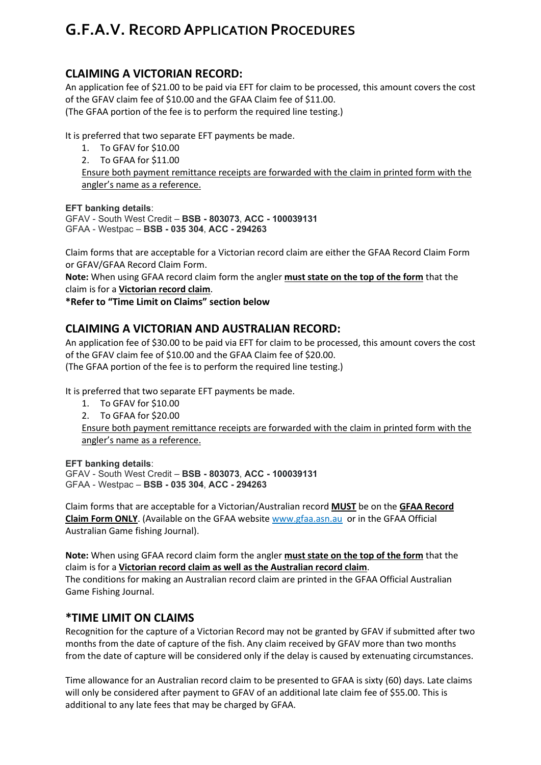# **G.F.A.V. RECORD APPLICATION PROCEDURES**

# **CLAIMING A VICTORIAN RECORD:**

An application fee of \$21.00 to be paid via EFT for claim to be processed, this amount covers the cost of the GFAV claim fee of \$10.00 and the GFAA Claim fee of \$11.00. (The GFAA portion of the fee is to perform the required line testing.)

It is preferred that two separate EFT payments be made.

- 1. To GFAV for \$10.00
- 2. To GFAA for \$11.00

Ensure both payment remittance receipts are forwarded with the claim in printed form with the angler's name as a reference.

#### **EFT banking details**:

```
GFAV - South West Credit – BSB - 803073, ACC - 100039131
GFAA - Westpac – BSB - 035 304, ACC - 294263
```
Claim forms that are acceptable for a Victorian record claim are either the GFAA Record Claim Form or GFAV/GFAA Record Claim Form.

**Note:** When using GFAA record claim form the angler **must state on the top of the form** that the claim is for a **Victorian record claim**.

**\*Refer to "Time Limit on Claims" section below**

## **CLAIMING A VICTORIAN AND AUSTRALIAN RECORD:**

An application fee of \$30.00 to be paid via EFT for claim to be processed, this amount covers the cost of the GFAV claim fee of \$10.00 and the GFAA Claim fee of \$20.00. (The GFAA portion of the fee is to perform the required line testing.)

It is preferred that two separate EFT payments be made.

- 1. To GFAV for \$10.00
- 2. To GFAA for \$20.00

Ensure both payment remittance receipts are forwarded with the claim in printed form with the angler's name as a reference.

#### **EFT banking details**:

GFAV - South West Credit – **BSB - 803073**, **ACC - 100039131** GFAA - Westpac – **BSB - 035 304**, **ACC - 294263**

Claim forms that are acceptable for a Victorian/Australian record **MUST** be on the **GFAA Record Claim Form ONLY**. (Available on the GFAA website [www.gfaa.asn.au](http://www.gfaa.asn.au/) or in the GFAA Official Australian Game fishing Journal).

**Note:** When using GFAA record claim form the angler **must state on the top of the form** that the claim is for a **Victorian record claim as well as the Australian record claim**. The conditions for making an Australian record claim are printed in the GFAA Official Australian Game Fishing Journal.

### **\*TIME LIMIT ON CLAIMS**

Recognition for the capture of a Victorian Record may not be granted by GFAV if submitted after two months from the date of capture of the fish. Any claim received by GFAV more than two months from the date of capture will be considered only if the delay is caused by extenuating circumstances.

Time allowance for an Australian record claim to be presented to GFAA is sixty (60) days. Late claims will only be considered after payment to GFAV of an additional late claim fee of \$55.00. This is additional to any late fees that may be charged by GFAA.